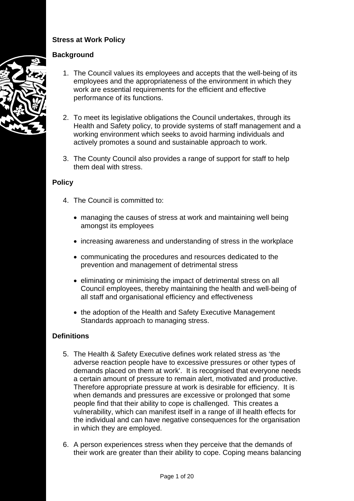# **Stress at Work Policy**

## **Background**

- 1. The Council values its employees and accepts that the well-being of its employees and the appropriateness of the environment in which they work are essential requirements for the efficient and effective performance of its functions.
- 2. To meet its legislative obligations the Council undertakes, through its Health and Safety policy, to provide systems of staff management and a working environment which seeks to avoid harming individuals and actively promotes a sound and sustainable approach to work.
- 3. The County Council also provides a range of support for staff to help them deal with stress.

### **Policy**

- 4. The Council is committed to:
	- managing the causes of stress at work and maintaining well being amongst its employees
	- increasing awareness and understanding of stress in the workplace
	- communicating the procedures and resources dedicated to the prevention and management of detrimental stress
	- eliminating or minimising the impact of detrimental stress on all Council employees, thereby maintaining the health and well-being of all staff and organisational efficiency and effectiveness
	- the adoption of the Health and Safety Executive Management Standards approach to managing stress.

### **Definitions**

- 5. The Health & Safety Executive defines work related stress as 'the adverse reaction people have to excessive pressures or other types of demands placed on them at work'. It is recognised that everyone needs a certain amount of pressure to remain alert, motivated and productive. Therefore appropriate pressure at work is desirable for efficiency. It is when demands and pressures are excessive or prolonged that some people find that their ability to cope is challenged. This creates a vulnerability, which can manifest itself in a range of ill health effects for the individual and can have negative consequences for the organisation in which they are employed.
- 6. A person experiences stress when they perceive that the demands of their work are greater than their ability to cope. Coping means balancing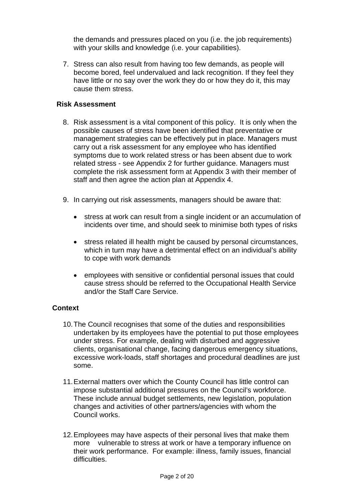the demands and pressures placed on you (i.e. the job requirements) with your skills and knowledge (i.e. your capabilities).

7. Stress can also result from having too few demands, as people will become bored, feel undervalued and lack recognition. If they feel they have little or no say over the work they do or how they do it, this may cause them stress.

### **Risk Assessment**

- 8. Risk assessment is a vital component of this policy. It is only when the possible causes of stress have been identified that preventative or management strategies can be effectively put in place. Managers must carry out a risk assessment for any employee who has identified symptoms due to work related stress or has been absent due to work related stress - see Appendix 2 for further guidance. Managers must complete the risk assessment form at Appendix 3 with their member of staff and then agree the action plan at Appendix 4.
- 9. In carrying out risk assessments, managers should be aware that:
	- stress at work can result from a single incident or an accumulation of incidents over time, and should seek to minimise both types of risks
	- stress related ill health might be caused by personal circumstances, which in turn may have a detrimental effect on an individual's ability to cope with work demands
	- employees with sensitive or confidential personal issues that could cause stress should be referred to the Occupational Health Service and/or the Staff Care Service.

# **Context**

- 10. The Council recognises that some of the duties and responsibilities undertaken by its employees have the potential to put those employees under stress. For example, dealing with disturbed and aggressive clients, organisational change, facing dangerous emergency situations, excessive work-loads, staff shortages and procedural deadlines are just some.
- 11. External matters over which the County Council has little control can impose substantial additional pressures on the Council's workforce. These include annual budget settlements, new legislation, population changes and activities of other partners/agencies with whom the Council works.
- 12. Employees may have aspects of their personal lives that make them more vulnerable to stress at work or have a temporary influence on their work performance. For example: illness, family issues, financial difficulties.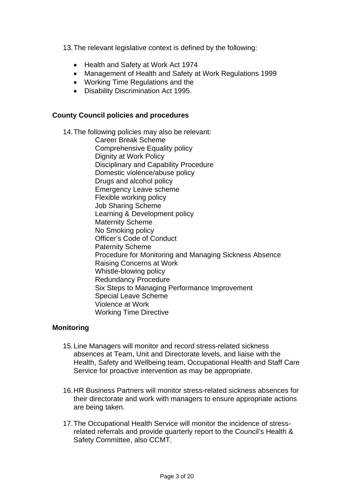13. The relevant legislative context is defined by the following:

- Health and Safety at Work Act 1974
- Management of Health and Safety at Work Regulations 1999
- Working Time Regulations and the
- Disability Discrimination Act 1995.

#### **County Council policies and procedures**

14. The following policies may also be relevant:

Career Break Scheme Comprehensive Equality policy Dignity at Work Policy Disciplinary and Capability Procedure Domestic violence/abuse policy Drugs and alcohol policy Emergency Leave scheme Flexible working policy Job Sharing Scheme Learning & Development policy Maternity Scheme No Smoking policy Officer's Code of Conduct Paternity Scheme Procedure for Monitoring and Managing Sickness Absence Raising Concerns at Work Whistle-blowing policy Redundancy Procedure Six Steps to Managing Performance Improvement Special Leave Scheme Violence at Work Working Time Directive

#### **Monitoring**

- 15. Line Managers will monitor and record stress-related sickness absences at Team, Unit and Directorate levels, and liaise with the Health, Safety and Wellbeing team, Occupational Health and Staff Care Service for proactive intervention as may be appropriate.
- 16. HR Business Partners will monitor stress-related sickness absences for their directorate and work with managers to ensure appropriate actions are being taken.
- 17. The Occupational Health Service will monitor the incidence of stressrelated referrals and provide quarterly report to the Council's Health & Safety Committee, also CCMT.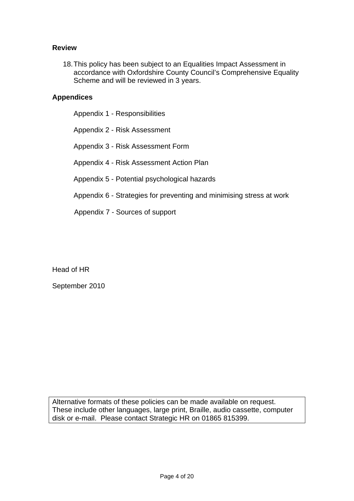### **Review**

18. This policy has been subject to an Equalities Impact Assessment in accordance with Oxfordshire County Council's Comprehensive Equality Scheme and will be reviewed in 3 years.

### **Appendices**

Appendix 1 - Responsibilities

Appendix 2 - Risk Assessment

Appendix 3 - Risk Assessment Form

Appendix 4 - Risk Assessment Action Plan

Appendix 5 - Potential psychological hazards

Appendix 6 - Strategies for preventing and minimising stress at work

Appendix 7 - Sources of support

Head of HR

September 2010

Alternative formats of these policies can be made available on request. These include other languages, large print, Braille, audio cassette, computer disk or e-mail. Please contact Strategic HR on 01865 815399.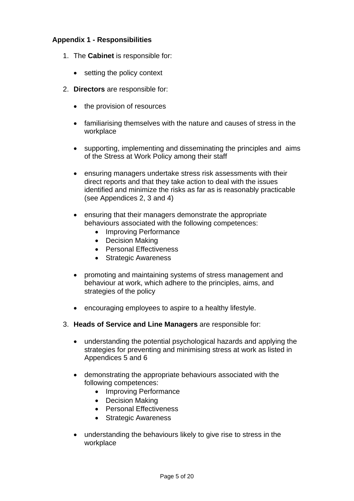### **Appendix 1 - Responsibilities**

- 1. The **Cabinet** is responsible for:
	- setting the policy context
- 2. **Directors** are responsible for:
	- the provision of resources
	- familiarising themselves with the nature and causes of stress in the workplace
	- supporting, implementing and disseminating the principles and aims of the Stress at Work Policy among their staff
	- ensuring managers undertake stress risk assessments with their direct reports and that they take action to deal with the issues identified and minimize the risks as far as is reasonably practicable (see Appendices 2, 3 and 4)
	- ensuring that their managers demonstrate the appropriate behaviours associated with the following competences:
		- Improving Performance
		- Decision Making
		- Personal Effectiveness
		- Strategic Awareness
	- promoting and maintaining systems of stress management and behaviour at work, which adhere to the principles, aims, and strategies of the policy
	- encouraging employees to aspire to a healthy lifestyle.
- 3. **Heads of Service and Line Managers** are responsible for:
	- understanding the potential psychological hazards and applying the strategies for preventing and minimising stress at work as listed in Appendices 5 and 6
	- demonstrating the appropriate behaviours associated with the following competences:
		- Improving Performance
		- Decision Making
		- Personal Effectiveness
		- Strategic Awareness
	- understanding the behaviours likely to give rise to stress in the workplace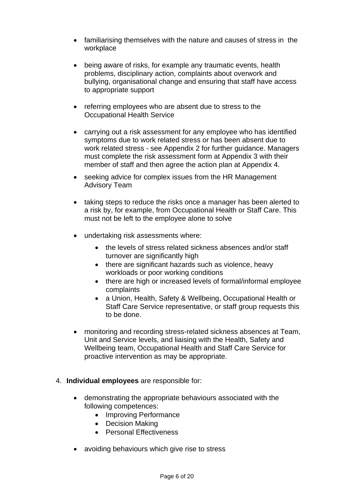- familiarising themselves with the nature and causes of stress in the workplace
- being aware of risks, for example any traumatic events, health problems, disciplinary action, complaints about overwork and bullying, organisational change and ensuring that staff have access to appropriate support
- referring employees who are absent due to stress to the Occupational Health Service
- carrying out a risk assessment for any employee who has identified symptoms due to work related stress or has been absent due to work related stress - see Appendix 2 for further guidance. Managers must complete the risk assessment form at Appendix 3 with their member of staff and then agree the action plan at Appendix 4.
- seeking advice for complex issues from the HR Management Advisory Team
- taking steps to reduce the risks once a manager has been alerted to a risk by, for example, from Occupational Health or Staff Care. This must not be left to the employee alone to solve
- undertaking risk assessments where:
	- the levels of stress related sickness absences and/or staff turnover are significantly high
	- there are significant hazards such as violence, heavy workloads or poor working conditions
	- there are high or increased levels of formal/informal employee complaints
	- a Union, Health, Safety & Wellbeing, Occupational Health or Staff Care Service representative, or staff group requests this to be done.
- monitoring and recording stress-related sickness absences at Team, Unit and Service levels, and liaising with the Health, Safety and Wellbeing team, Occupational Health and Staff Care Service for proactive intervention as may be appropriate.
- 4. **Individual employees** are responsible for:
	- demonstrating the appropriate behaviours associated with the following competences:
		- Improving Performance
		- Decision Making
		- Personal Effectiveness
	- avoiding behaviours which give rise to stress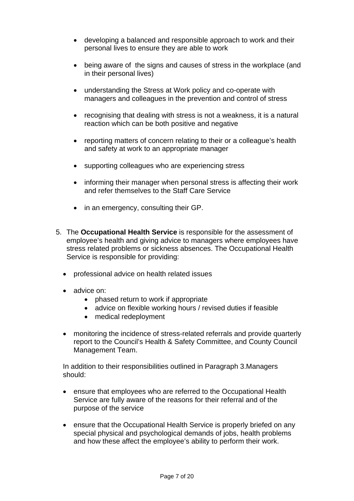- developing a balanced and responsible approach to work and their personal lives to ensure they are able to work
- being aware of the signs and causes of stress in the workplace (and in their personal lives)
- understanding the Stress at Work policy and co-operate with managers and colleagues in the prevention and control of stress
- recognising that dealing with stress is not a weakness, it is a natural reaction which can be both positive and negative
- reporting matters of concern relating to their or a colleague's health and safety at work to an appropriate manager
- supporting colleagues who are experiencing stress
- informing their manager when personal stress is affecting their work and refer themselves to the Staff Care Service
- in an emergency, consulting their GP.
- 5. The **Occupational Health Service** is responsible for the assessment of employee's health and giving advice to managers where employees have stress related problems or sickness absences. The Occupational Health Service is responsible for providing:
	- professional advice on health related issues
	- advice on:
		- phased return to work if appropriate
		- advice on flexible working hours / revised duties if feasible
		- medical redeployment
	- monitoring the incidence of stress-related referrals and provide quarterly report to the Council's Health & Safety Committee, and County Council Management Team.

In addition to their responsibilities outlined in Paragraph 3.Managers should:

- ensure that employees who are referred to the Occupational Health Service are fully aware of the reasons for their referral and of the purpose of the service
- ensure that the Occupational Health Service is properly briefed on any special physical and psychological demands of jobs, health problems and how these affect the employee's ability to perform their work.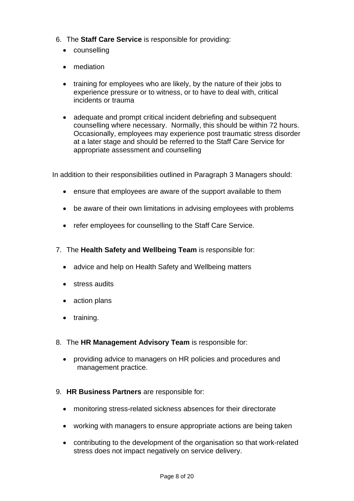- 6. The **Staff Care Service** is responsible for providing:
	- counselling
	- mediation
	- training for employees who are likely, by the nature of their jobs to experience pressure or to witness, or to have to deal with, critical incidents or trauma
	- adequate and prompt critical incident debriefing and subsequent counselling where necessary. Normally, this should be within 72 hours. Occasionally, employees may experience post traumatic stress disorder at a later stage and should be referred to the Staff Care Service for appropriate assessment and counselling

In addition to their responsibilities outlined in Paragraph 3 Managers should:

- ensure that employees are aware of the support available to them
- be aware of their own limitations in advising employees with problems
- refer employees for counselling to the Staff Care Service.
- 7. The **Health Safety and Wellbeing Team** is responsible for:
	- advice and help on Health Safety and Wellbeing matters
	- stress audits
	- action plans
	- training.
- 8. The **HR Management Advisory Team** is responsible for:
	- providing advice to managers on HR policies and procedures and management practice.
- 9. **HR Business Partners** are responsible for:
	- monitoring stress-related sickness absences for their directorate
	- working with managers to ensure appropriate actions are being taken
	- contributing to the development of the organisation so that work-related stress does not impact negatively on service delivery.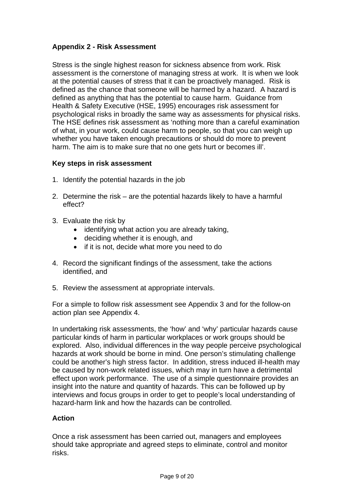# **Appendix 2 - Risk Assessment**

Stress is the single highest reason for sickness absence from work. Risk assessment is the cornerstone of managing stress at work. It is when we look at the potential causes of stress that it can be proactively managed. Risk is defined as the chance that someone will be harmed by a hazard. A hazard is defined as anything that has the potential to cause harm. Guidance from Health & Safety Executive (HSE, 1995) encourages risk assessment for psychological risks in broadly the same way as assessments for physical risks. The HSE defines risk assessment as 'nothing more than a careful examination of what, in your work, could cause harm to people, so that you can weigh up whether you have taken enough precautions or should do more to prevent harm. The aim is to make sure that no one gets hurt or becomes ill'.

### **Key steps in risk assessment**

- 1. Identify the potential hazards in the job
- 2. Determine the risk are the potential hazards likely to have a harmful effect?
- 3. Evaluate the risk by
	- identifying what action you are already taking,
	- deciding whether it is enough, and
	- if it is not, decide what more you need to do
- 4. Record the significant findings of the assessment, take the actions identified, and
- 5. Review the assessment at appropriate intervals.

For a simple to follow risk assessment see Appendix 3 and for the follow-on action plan see Appendix 4.

In undertaking risk assessments, the 'how' and 'why' particular hazards cause particular kinds of harm in particular workplaces or work groups should be explored. Also, individual differences in the way people perceive psychological hazards at work should be borne in mind. One person's stimulating challenge could be another's high stress factor. In addition, stress induced ill-health may be caused by non-work related issues, which may in turn have a detrimental effect upon work performance. The use of a simple questionnaire provides an insight into the nature and quantity of hazards. This can be followed up by interviews and focus groups in order to get to people's local understanding of hazard-harm link and how the hazards can be controlled.

### **Action**

Once a risk assessment has been carried out, managers and employees should take appropriate and agreed steps to eliminate, control and monitor risks.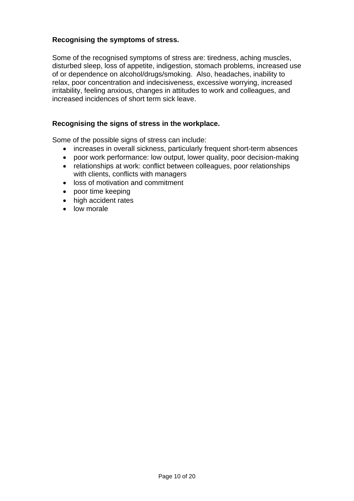### **Recognising the symptoms of stress.**

Some of the recognised symptoms of stress are: tiredness, aching muscles, disturbed sleep, loss of appetite, indigestion, stomach problems, increased use of or dependence on alcohol/drugs/smoking. Also, headaches, inability to relax, poor concentration and indecisiveness, excessive worrying, increased irritability, feeling anxious, changes in attitudes to work and colleagues, and increased incidences of short term sick leave.

#### **Recognising the signs of stress in the workplace.**

Some of the possible signs of stress can include:

- increases in overall sickness, particularly frequent short-term absences
- poor work performance: low output, lower quality, poor decision-making
- relationships at work: conflict between colleagues, poor relationships with clients, conflicts with managers
- loss of motivation and commitment
- poor time keeping
- high accident rates
- low morale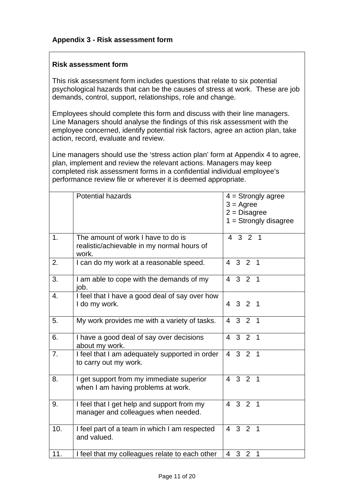### **Risk assessment form**

This risk assessment form includes questions that relate to six potential psychological hazards that can be the causes of stress at work. These are job demands, control, support, relationships, role and change.

Employees should complete this form and discuss with their line managers. Line Managers should analyse the findings of this risk assessment with the employee concerned, identify potential risk factors, agree an action plan, take action, record, evaluate and review.

Line managers should use the 'stress action plan' form at Appendix 4 to agree, plan, implement and review the relevant actions. Managers may keep completed risk assessment forms in a confidential individual employee's performance review file or wherever it is deemed appropriate.

|                | <b>Potential hazards</b>                                                                  | $4 =$ Strongly agree<br>$3 = \text{Agree}$<br>$2 = Disagree$<br>$1 =$ Strongly disagree |
|----------------|-------------------------------------------------------------------------------------------|-----------------------------------------------------------------------------------------|
| 1 <sub>1</sub> | The amount of work I have to do is<br>realistic/achievable in my normal hours of<br>work. | 4 3 2 1                                                                                 |
| 2.             | I can do my work at a reasonable speed.                                                   | $3 \quad 2 \quad 1$<br>4                                                                |
| 3.             | I am able to cope with the demands of my<br>job.                                          | $3\quad 2\quad 1$<br>$\overline{4}$                                                     |
| 4.             | I feel that I have a good deal of say over how<br>I do my work.                           | 4 3 2 1                                                                                 |
| 5.             | My work provides me with a variety of tasks.                                              | $3 \quad 2 \quad 1$<br>$\overline{4}$                                                   |
| 6.             | I have a good deal of say over decisions<br>about my work.                                | 3 <sup>2</sup><br>$\overline{4}$<br>$\overline{\phantom{1}}$                            |
| 7.             | I feel that I am adequately supported in order<br>to carry out my work.                   | 4 3 2 1                                                                                 |
| 8.             | I get support from my immediate superior<br>when I am having problems at work.            | $3 \quad 2 \quad 1$<br>$\overline{4}$                                                   |
| 9.             | I feel that I get help and support from my<br>manager and colleagues when needed.         | $3 \quad 2 \quad 1$<br>$\overline{4}$                                                   |
| 10.            | I feel part of a team in which I am respected<br>and valued.                              | $3 \quad 2 \quad 1$<br>$\overline{4}$                                                   |
| 11.            | I feel that my colleagues relate to each other                                            | $\overline{4}$<br>3 <sup>2</sup><br>$\mathbf 1$                                         |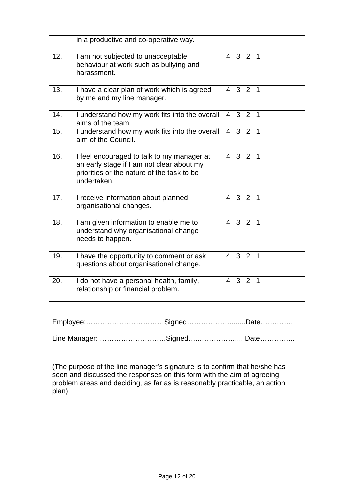|     | in a productive and co-operative way.                                                                                                                |                |                     |                          |
|-----|------------------------------------------------------------------------------------------------------------------------------------------------------|----------------|---------------------|--------------------------|
| 12. | I am not subjected to unacceptable<br>behaviour at work such as bullying and<br>harassment.                                                          |                | 4 3 2 1             |                          |
| 13. | I have a clear plan of work which is agreed<br>by me and my line manager.                                                                            |                | 4 3 2 1             |                          |
| 14. | I understand how my work fits into the overall<br>aims of the team.                                                                                  | 4              | $3\quad 2\quad 1$   |                          |
| 15. | I understand how my work fits into the overall<br>aim of the Council.                                                                                | $\overline{4}$ | $3 \quad 2 \quad 1$ |                          |
| 16. | I feel encouraged to talk to my manager at<br>an early stage if I am not clear about my<br>priorities or the nature of the task to be<br>undertaken. |                | 4 3 2 1             |                          |
| 17. | I receive information about planned<br>organisational changes.                                                                                       | $\overline{4}$ | $3\quad 2\quad 1$   |                          |
| 18. | I am given information to enable me to<br>understand why organisational change<br>needs to happen.                                                   | $\overline{4}$ | $3 \quad 2 \quad 1$ |                          |
| 19. | I have the opportunity to comment or ask<br>questions about organisational change.                                                                   | $\overline{4}$ | $3 \quad 2 \quad 1$ |                          |
| 20. | I do not have a personal health, family,<br>relationship or financial problem.                                                                       | $\overline{4}$ | 3 <sup>2</sup>      | $\overline{\phantom{0}}$ |

Employee:……………………………Signed………………........Date…….…….

Line Manager: ……………………….Signed…..…………….... Date…………...

(The purpose of the line manager's signature is to confirm that he/she has seen and discussed the responses on this form with the aim of agreeing problem areas and deciding, as far as is reasonably practicable, an action plan)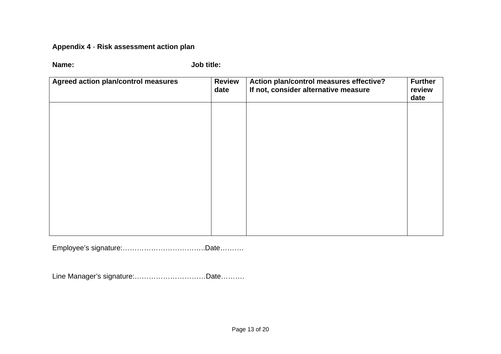# **Appendix 4** - **Risk assessment action plan**

**Name: Job title:** 

| <b>Agreed action plan/control measures</b> | <b>Review</b><br>date | Action plan/control measures effective?<br>If not, consider alternative measure | <b>Further</b><br>review<br>date |
|--------------------------------------------|-----------------------|---------------------------------------------------------------------------------|----------------------------------|
|                                            |                       |                                                                                 |                                  |
|                                            |                       |                                                                                 |                                  |
|                                            |                       |                                                                                 |                                  |
|                                            |                       |                                                                                 |                                  |
|                                            |                       |                                                                                 |                                  |

Employee's signature:……………………………..Date……….

Line Manager's signature:…………………………Date……….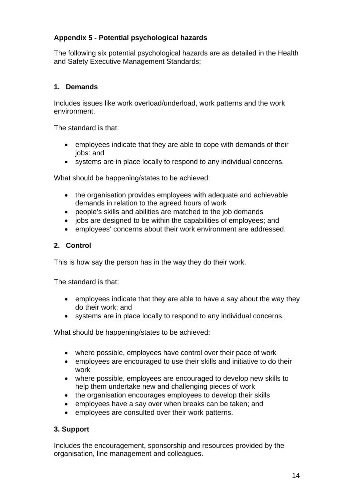# **Appendix 5 - Potential psychological hazards**

The following six potential psychological hazards are as detailed in the Health and Safety Executive Management Standards;

# **1. Demands**

Includes issues like work overload/underload, work patterns and the work environment.

The standard is that:

- employees indicate that they are able to cope with demands of their jobs: and
- systems are in place locally to respond to any individual concerns.

What should be happening/states to be achieved:

- the organisation provides employees with adequate and achievable demands in relation to the agreed hours of work
- people's skills and abilities are matched to the job demands
- jobs are designed to be within the capabilities of employees; and
- employees' concerns about their work environment are addressed.

# **2. Control**

This is how say the person has in the way they do their work.

The standard is that:

- employees indicate that they are able to have a say about the way they do their work; and
- systems are in place locally to respond to any individual concerns.

What should be happening/states to be achieved:

- where possible, employees have control over their pace of work
- employees are encouraged to use their skills and initiative to do their work
- where possible, employees are encouraged to develop new skills to help them undertake new and challenging pieces of work
- the organisation encourages employees to develop their skills
- employees have a say over when breaks can be taken; and
- employees are consulted over their work patterns.

# **3. Support**

Includes the encouragement, sponsorship and resources provided by the organisation, line management and colleagues.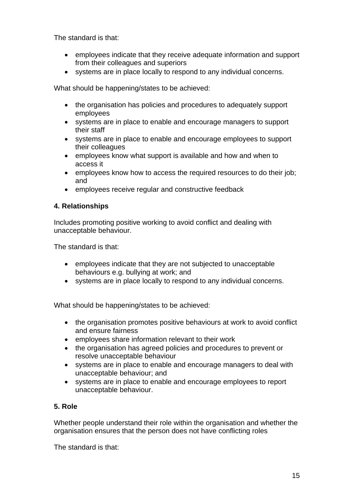The standard is that:

- employees indicate that they receive adequate information and support from their colleagues and superiors
- systems are in place locally to respond to any individual concerns.

What should be happening/states to be achieved:

- the organisation has policies and procedures to adequately support employees
- systems are in place to enable and encourage managers to support their staff
- systems are in place to enable and encourage employees to support their colleagues
- employees know what support is available and how and when to access it
- employees know how to access the required resources to do their job; and
- employees receive regular and constructive feedback

# **4. Relationships**

Includes promoting positive working to avoid conflict and dealing with unacceptable behaviour.

The standard is that:

- employees indicate that they are not subjected to unacceptable behaviours e.g. bullying at work; and
- systems are in place locally to respond to any individual concerns.

What should be happening/states to be achieved:

- the organisation promotes positive behaviours at work to avoid conflict and ensure fairness
- employees share information relevant to their work
- the organisation has agreed policies and procedures to prevent or resolve unacceptable behaviour
- systems are in place to enable and encourage managers to deal with unacceptable behaviour; and
- systems are in place to enable and encourage employees to report unacceptable behaviour.

# **5. Role**

Whether people understand their role within the organisation and whether the organisation ensures that the person does not have conflicting roles

The standard is that: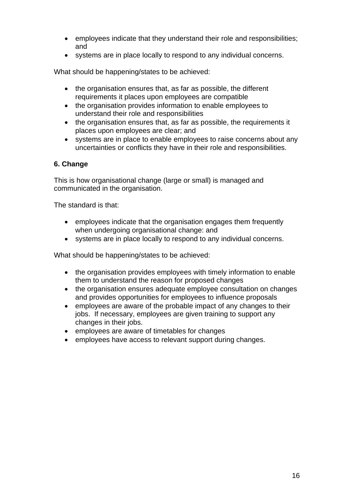- employees indicate that they understand their role and responsibilities; and
- systems are in place locally to respond to any individual concerns.

What should be happening/states to be achieved:

- the organisation ensures that, as far as possible, the different requirements it places upon employees are compatible
- the organisation provides information to enable employees to understand their role and responsibilities
- the organisation ensures that, as far as possible, the requirements it places upon employees are clear; and
- systems are in place to enable employees to raise concerns about any uncertainties or conflicts they have in their role and responsibilities.

### **6. Change**

This is how organisational change (large or small) is managed and communicated in the organisation.

The standard is that:

- employees indicate that the organisation engages them frequently when undergoing organisational change: and
- systems are in place locally to respond to any individual concerns.

What should be happening/states to be achieved:

- the organisation provides employees with timely information to enable them to understand the reason for proposed changes
- the organisation ensures adequate employee consultation on changes and provides opportunities for employees to influence proposals
- employees are aware of the probable impact of any changes to their jobs. If necessary, employees are given training to support any changes in their jobs.
- employees are aware of timetables for changes
- employees have access to relevant support during changes.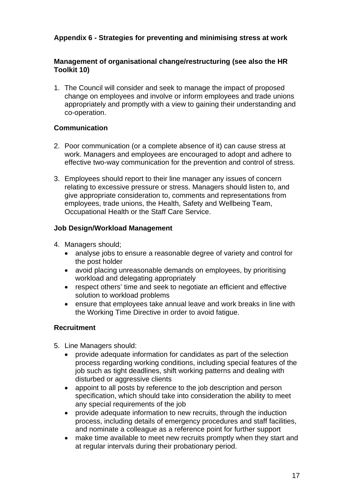# **Appendix 6 - Strategies for preventing and minimising stress at work**

# **Management of organisational change/restructuring (see also the HR Toolkit 10)**

1. The Council will consider and seek to manage the impact of proposed change on employees and involve or inform employees and trade unions appropriately and promptly with a view to gaining their understanding and co-operation.

# **Communication**

- 2. Poor communication (or a complete absence of it) can cause stress at work. Managers and employees are encouraged to adopt and adhere to effective two-way communication for the prevention and control of stress.
- 3. Employees should report to their line manager any issues of concern relating to excessive pressure or stress. Managers should listen to, and give appropriate consideration to, comments and representations from employees, trade unions, the Health, Safety and Wellbeing Team, Occupational Health or the Staff Care Service.

# **Job Design/Workload Management**

- 4. Managers should;
	- analyse jobs to ensure a reasonable degree of variety and control for the post holder
	- avoid placing unreasonable demands on employees, by prioritising workload and delegating appropriately
	- respect others' time and seek to negotiate an efficient and effective solution to workload problems
	- ensure that employees take annual leave and work breaks in line with the Working Time Directive in order to avoid fatigue.

# **Recruitment**

- 5. Line Managers should:
	- provide adequate information for candidates as part of the selection process regarding working conditions, including special features of the job such as tight deadlines, shift working patterns and dealing with disturbed or aggressive clients
	- appoint to all posts by reference to the job description and person specification, which should take into consideration the ability to meet any special requirements of the job
	- provide adequate information to new recruits, through the induction process, including details of emergency procedures and staff facilities, and nominate a colleague as a reference point for further support
	- make time available to meet new recruits promptly when they start and at regular intervals during their probationary period.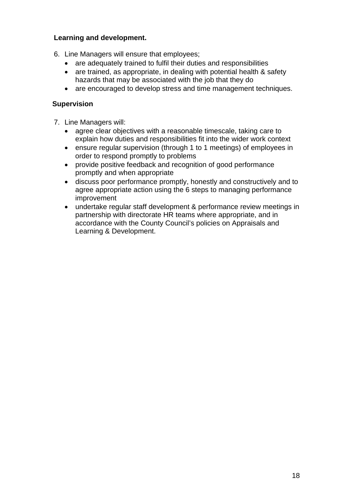## **Learning and development.**

- 6. Line Managers will ensure that employees;
	- are adequately trained to fulfil their duties and responsibilities
	- are trained, as appropriate, in dealing with potential health & safety hazards that may be associated with the job that they do
	- are encouraged to develop stress and time management techniques.

### **Supervision**

- 7. Line Managers will:
	- agree clear objectives with a reasonable timescale, taking care to explain how duties and responsibilities fit into the wider work context
	- ensure regular supervision (through 1 to 1 meetings) of employees in order to respond promptly to problems
	- provide positive feedback and recognition of good performance promptly and when appropriate
	- discuss poor performance promptly, honestly and constructively and to agree appropriate action using the 6 steps to managing performance improvement
	- undertake regular staff development & performance review meetings in partnership with directorate HR teams where appropriate, and in accordance with the County Council's policies on Appraisals and Learning & Development.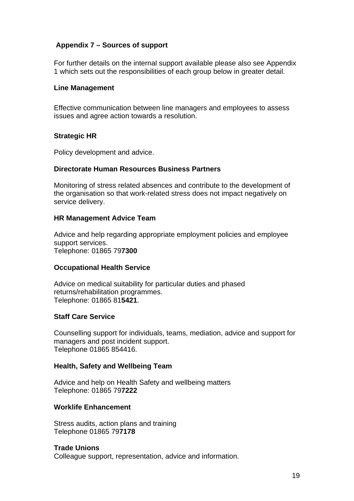## **Appendix 7 – Sources of support**

For further details on the internal support available please also see Appendix 1 which sets out the responsibilities of each group below in greater detail.

#### **Line Management**

Effective communication between line managers and employees to assess issues and agree action towards a resolution.

### **Strategic HR**

Policy development and advice.

#### **Directorate Human Resources Business Partners**

Monitoring of stress related absences and contribute to the development of the organisation so that work-related stress does not impact negatively on service delivery.

#### **HR Management Advice Team**

Advice and help regarding appropriate employment policies and employee support services. Telephone: 01865 79**7300**

#### **Occupational Health Service**

Advice on medical suitability for particular duties and phased returns/rehabilitation programmes. Telephone: 01865 81**5421**.

#### **Staff Care Service**

Counselling support for individuals, teams, mediation, advice and support for managers and post incident support. Telephone 01865 854416.

#### **Health, Safety and Wellbeing Team**

Advice and help on Health Safety and wellbeing matters Telephone: 01865 79**7222**

#### **Worklife Enhancement**

Stress audits, action plans and training Telephone 01865 79**7178**

#### **Trade Unions**

Colleague support, representation, advice and information.